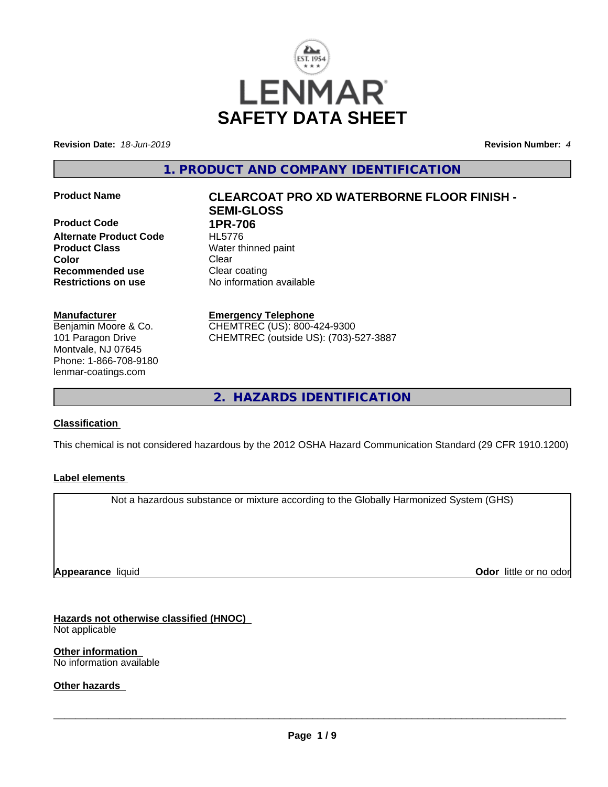

**Revision Date:** *18-Jun-2019* **Revision Number:** *4*

**1. PRODUCT AND COMPANY IDENTIFICATION**

**Product Code 1PR-706 Alternate Product Code** HL5776 **Product Class** Water thinned paint **Color** Clear Clear **Recommended use** Clear coating **Restrictions on use** No information available

#### **Manufacturer**

Benjamin Moore & Co. 101 Paragon Drive Montvale, NJ 07645 Phone: 1-866-708-9180 lenmar-coatings.com

# **Product Name CLEARCOAT PRO XD WATERBORNE FLOOR FINISH - SEMI-GLOSS**

**Emergency Telephone** CHEMTREC (US): 800-424-9300 CHEMTREC (outside US): (703)-527-3887

**2. HAZARDS IDENTIFICATION**

## **Classification**

This chemical is not considered hazardous by the 2012 OSHA Hazard Communication Standard (29 CFR 1910.1200)

## **Label elements**

Not a hazardous substance or mixture according to the Globally Harmonized System (GHS)

**Appearance** liquid

**Odor** little or no odor

**Hazards not otherwise classified (HNOC)** Not applicable

**Other information** No information available

**Other hazards**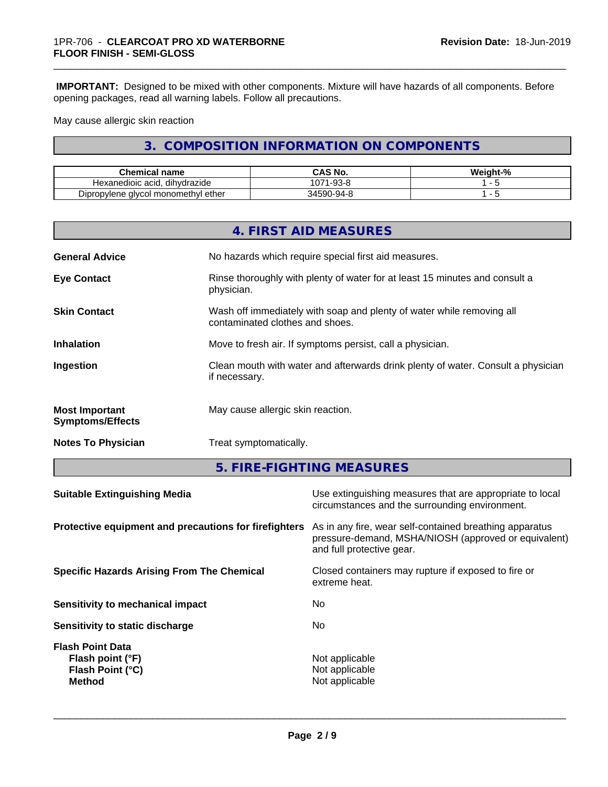**IMPORTANT:** Designed to be mixed with other components. Mixture will have hazards of all components. Before opening packages, read all warning labels. Follow all precautions.

\_\_\_\_\_\_\_\_\_\_\_\_\_\_\_\_\_\_\_\_\_\_\_\_\_\_\_\_\_\_\_\_\_\_\_\_\_\_\_\_\_\_\_\_\_\_\_\_\_\_\_\_\_\_\_\_\_\_\_\_\_\_\_\_\_\_\_\_\_\_\_\_\_\_\_\_\_\_\_\_\_\_\_\_\_\_\_\_\_\_\_\_\_

May cause allergic skin reaction

# **3. COMPOSITION INFORMATION ON COMPONENTS**

| ' name<br>Chemical                          | $\sim$ 11<br>$R_{\rm A}$<br>CAS No.     | "veight-"∶<br>-70 |
|---------------------------------------------|-----------------------------------------|-------------------|
| <br>dihydrazide<br>Hexanedioic acid.        | $\sim$ $\sim$<br>റററ<br>-9<br>υı<br>ິບປ |                   |
| I monomethyl ether<br>alvcol<br>Dipropylene | י ו/ י                                  |                   |

|                                                  | 4. FIRST AID MEASURES                                                                                    |
|--------------------------------------------------|----------------------------------------------------------------------------------------------------------|
| <b>General Advice</b>                            | No hazards which require special first aid measures.                                                     |
| <b>Eye Contact</b>                               | Rinse thoroughly with plenty of water for at least 15 minutes and consult a<br>physician.                |
| <b>Skin Contact</b>                              | Wash off immediately with soap and plenty of water while removing all<br>contaminated clothes and shoes. |
| <b>Inhalation</b>                                | Move to fresh air. If symptoms persist, call a physician.                                                |
| Ingestion                                        | Clean mouth with water and afterwards drink plenty of water. Consult a physician<br>if necessary.        |
| <b>Most Important</b><br><b>Symptoms/Effects</b> | May cause allergic skin reaction.                                                                        |
| <b>Notes To Physician</b>                        | Treat symptomatically.                                                                                   |

**5. FIRE-FIGHTING MEASURES**

| <b>Suitable Extinguishing Media</b>                                              | Use extinguishing measures that are appropriate to local<br>circumstances and the surrounding environment.                                   |
|----------------------------------------------------------------------------------|----------------------------------------------------------------------------------------------------------------------------------------------|
| Protective equipment and precautions for firefighters                            | As in any fire, wear self-contained breathing apparatus<br>pressure-demand, MSHA/NIOSH (approved or equivalent)<br>and full protective gear. |
| <b>Specific Hazards Arising From The Chemical</b>                                | Closed containers may rupture if exposed to fire or<br>extreme heat.                                                                         |
| Sensitivity to mechanical impact                                                 | No                                                                                                                                           |
| Sensitivity to static discharge                                                  | No.                                                                                                                                          |
| <b>Flash Point Data</b><br>Flash point (°F)<br>Flash Point (°C)<br><b>Method</b> | Not applicable<br>Not applicable<br>Not applicable                                                                                           |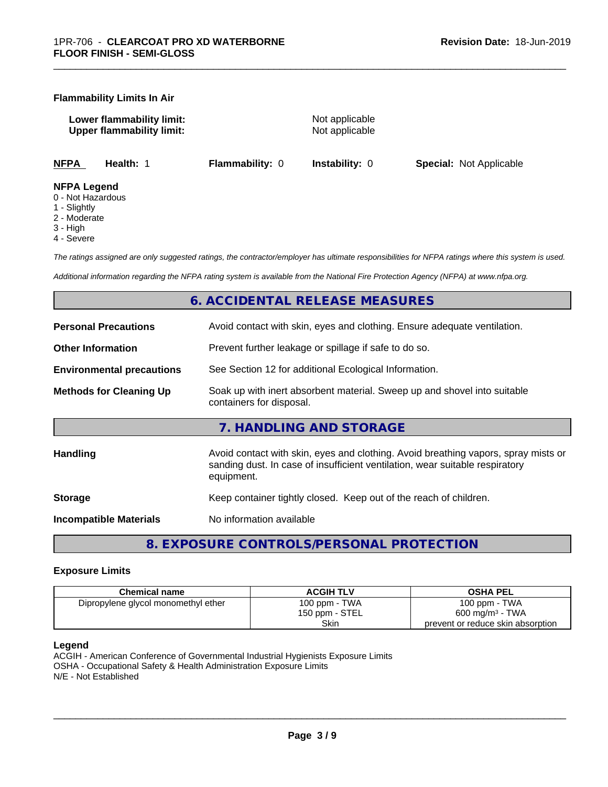#### **Flammability Limits In Air**

**Lower flammability limit:** Not applicable **Upper flammability limit:** Not applicable

\_\_\_\_\_\_\_\_\_\_\_\_\_\_\_\_\_\_\_\_\_\_\_\_\_\_\_\_\_\_\_\_\_\_\_\_\_\_\_\_\_\_\_\_\_\_\_\_\_\_\_\_\_\_\_\_\_\_\_\_\_\_\_\_\_\_\_\_\_\_\_\_\_\_\_\_\_\_\_\_\_\_\_\_\_\_\_\_\_\_\_\_\_

**NFPA Health:** 1 **Flammability:** 0 **Instability:** 0 **Special:** Not Applicable

#### **NFPA Legend**

- 0 Not Hazardous
- 1 Slightly
- 2 Moderate
- 3 High
- 4 Severe

*The ratings assigned are only suggested ratings, the contractor/employer has ultimate responsibilities for NFPA ratings where this system is used.*

*Additional information regarding the NFPA rating system is available from the National Fire Protection Agency (NFPA) at www.nfpa.org.*

# **6. ACCIDENTAL RELEASE MEASURES**

| <b>Personal Precautions</b>      | Avoid contact with skin, eyes and clothing. Ensure adequate ventilation.                                                                                                         |  |  |  |
|----------------------------------|----------------------------------------------------------------------------------------------------------------------------------------------------------------------------------|--|--|--|
| <b>Other Information</b>         | Prevent further leakage or spillage if safe to do so.                                                                                                                            |  |  |  |
| <b>Environmental precautions</b> | See Section 12 for additional Ecological Information.                                                                                                                            |  |  |  |
| <b>Methods for Cleaning Up</b>   | Soak up with inert absorbent material. Sweep up and shovel into suitable<br>containers for disposal.                                                                             |  |  |  |
|                                  | 7. HANDLING AND STORAGE                                                                                                                                                          |  |  |  |
| Handling                         | Avoid contact with skin, eyes and clothing. Avoid breathing vapors, spray mists or<br>sanding dust. In case of insufficient ventilation, wear suitable respiratory<br>equipment. |  |  |  |
| <b>Storage</b>                   | Keep container tightly closed. Keep out of the reach of children.                                                                                                                |  |  |  |
| <b>Incompatible Materials</b>    | No information available                                                                                                                                                         |  |  |  |
|                                  |                                                                                                                                                                                  |  |  |  |

**8. EXPOSURE CONTROLS/PERSONAL PROTECTION**

#### **Exposure Limits**

| <b>Chemical name</b>                | <b>ACGIH TLV</b> | <b>OSHA PEL</b>                   |
|-------------------------------------|------------------|-----------------------------------|
| Dipropylene glycol monomethyl ether | 100 ppm - TWA    | 100 ppm - TWA                     |
|                                     | 150 ppm - STEL   | $600 \text{ mg/m}^3$ - TWA        |
|                                     | Skin             | prevent or reduce skin absorption |

#### **Legend**

ACGIH - American Conference of Governmental Industrial Hygienists Exposure Limits OSHA - Occupational Safety & Health Administration Exposure Limits N/E - Not Established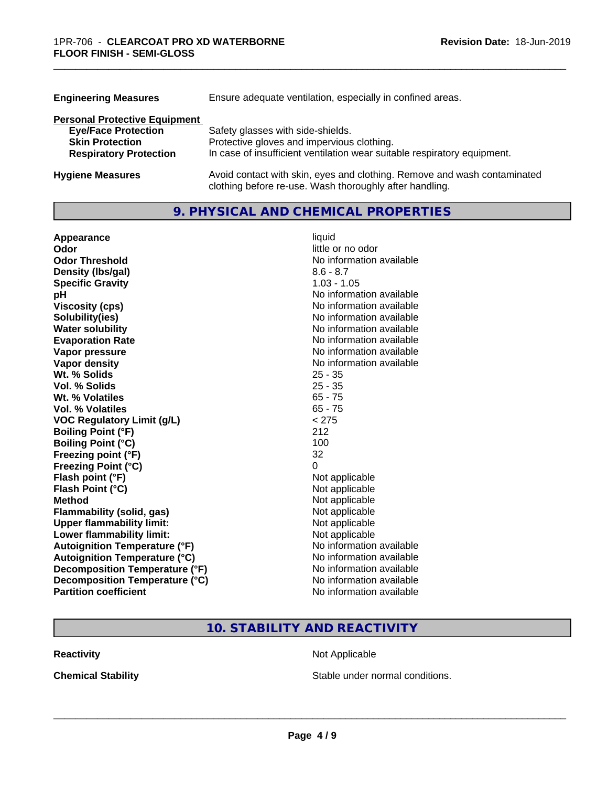| <b>Engineering Measures</b>          | Ensure adequate ventilation, especially in confined areas.                                                                          |  |  |
|--------------------------------------|-------------------------------------------------------------------------------------------------------------------------------------|--|--|
| <b>Personal Protective Equipment</b> |                                                                                                                                     |  |  |
| <b>Eye/Face Protection</b>           | Safety glasses with side-shields.                                                                                                   |  |  |
| <b>Skin Protection</b>               | Protective gloves and impervious clothing.                                                                                          |  |  |
| <b>Respiratory Protection</b>        | In case of insufficient ventilation wear suitable respiratory equipment.                                                            |  |  |
| <b>Hygiene Measures</b>              | Avoid contact with skin, eyes and clothing. Remove and wash contaminated<br>clothing before re-use. Wash thoroughly after handling. |  |  |

\_\_\_\_\_\_\_\_\_\_\_\_\_\_\_\_\_\_\_\_\_\_\_\_\_\_\_\_\_\_\_\_\_\_\_\_\_\_\_\_\_\_\_\_\_\_\_\_\_\_\_\_\_\_\_\_\_\_\_\_\_\_\_\_\_\_\_\_\_\_\_\_\_\_\_\_\_\_\_\_\_\_\_\_\_\_\_\_\_\_\_\_\_

# **9. PHYSICAL AND CHEMICAL PROPERTIES**

| Appearance                           | liquid                   |
|--------------------------------------|--------------------------|
| Odor                                 | little or no odor        |
| <b>Odor Threshold</b>                | No information available |
| Density (Ibs/gal)                    | $8.6 - 8.7$              |
| <b>Specific Gravity</b>              | $1.03 - 1.05$            |
| pH                                   | No information available |
| <b>Viscosity (cps)</b>               | No information available |
| Solubility(ies)                      | No information available |
| <b>Water solubility</b>              | No information available |
| <b>Evaporation Rate</b>              | No information available |
| Vapor pressure                       | No information available |
| Vapor density                        | No information available |
| Wt. % Solids                         | $25 - 35$                |
| Vol. % Solids                        | $25 - 35$                |
| Wt. % Volatiles                      | $65 - 75$                |
| <b>Vol. % Volatiles</b>              | $65 - 75$                |
| <b>VOC Regulatory Limit (g/L)</b>    | < 275                    |
| <b>Boiling Point (°F)</b>            | 212                      |
| <b>Boiling Point (°C)</b>            | 100                      |
| Freezing point (°F)                  | 32                       |
| <b>Freezing Point (°C)</b>           | 0                        |
| Flash point (°F)                     | Not applicable           |
| Flash Point (°C)                     | Not applicable           |
| <b>Method</b>                        | Not applicable           |
| Flammability (solid, gas)            | Not applicable           |
| <b>Upper flammability limit:</b>     | Not applicable           |
| Lower flammability limit:            | Not applicable           |
| <b>Autoignition Temperature (°F)</b> | No information available |
| <b>Autoignition Temperature (°C)</b> | No information available |
| Decomposition Temperature (°F)       | No information available |
| Decomposition Temperature (°C)       | No information available |
| <b>Partition coefficient</b>         | No information available |

# **10. STABILITY AND REACTIVITY**

**Reactivity Not Applicable** Not Applicable

**Chemical Stability Chemical Stability** Stable under normal conditions.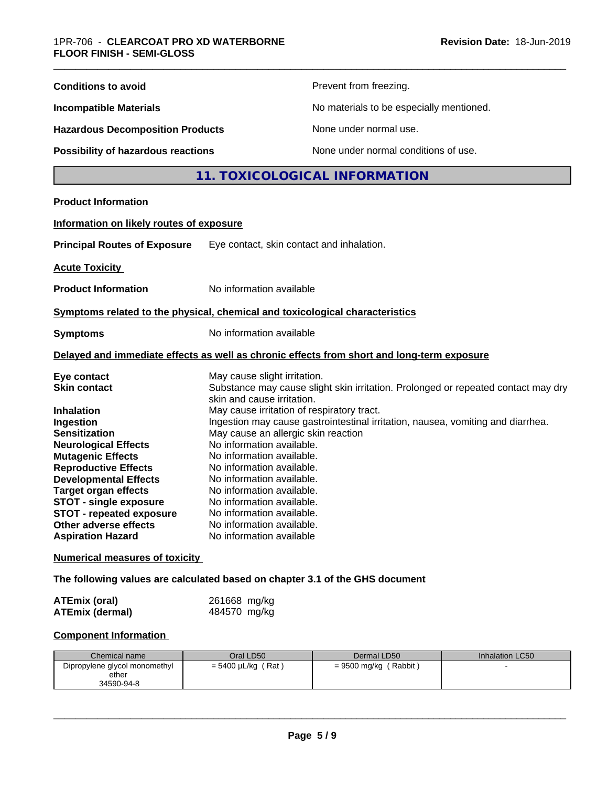| <b>Conditions to avoid</b>                                                                                                                |                                                                              | Prevent from freezing.                                                                                                                          |                 |  |  |
|-------------------------------------------------------------------------------------------------------------------------------------------|------------------------------------------------------------------------------|-------------------------------------------------------------------------------------------------------------------------------------------------|-----------------|--|--|
| <b>Incompatible Materials</b>                                                                                                             |                                                                              | No materials to be especially mentioned.                                                                                                        |                 |  |  |
| <b>Hazardous Decomposition Products</b>                                                                                                   |                                                                              | None under normal use.                                                                                                                          |                 |  |  |
| <b>Possibility of hazardous reactions</b>                                                                                                 |                                                                              | None under normal conditions of use.                                                                                                            |                 |  |  |
|                                                                                                                                           |                                                                              | 11. TOXICOLOGICAL INFORMATION                                                                                                                   |                 |  |  |
| <b>Product Information</b>                                                                                                                |                                                                              |                                                                                                                                                 |                 |  |  |
| Information on likely routes of exposure                                                                                                  |                                                                              |                                                                                                                                                 |                 |  |  |
| <b>Principal Routes of Exposure</b>                                                                                                       | Eye contact, skin contact and inhalation.                                    |                                                                                                                                                 |                 |  |  |
| <b>Acute Toxicity</b>                                                                                                                     |                                                                              |                                                                                                                                                 |                 |  |  |
| <b>Product Information</b>                                                                                                                | No information available                                                     |                                                                                                                                                 |                 |  |  |
|                                                                                                                                           |                                                                              |                                                                                                                                                 |                 |  |  |
|                                                                                                                                           | Symptoms related to the physical, chemical and toxicological characteristics |                                                                                                                                                 |                 |  |  |
| No information available<br><b>Symptoms</b><br>Delayed and immediate effects as well as chronic effects from short and long-term exposure |                                                                              |                                                                                                                                                 |                 |  |  |
|                                                                                                                                           |                                                                              |                                                                                                                                                 |                 |  |  |
| Eye contact<br><b>Skin contact</b>                                                                                                        |                                                                              | May cause slight irritation.<br>Substance may cause slight skin irritation. Prolonged or repeated contact may dry<br>skin and cause irritation. |                 |  |  |
| Inhalation<br>Ingestion                                                                                                                   |                                                                              | May cause irritation of respiratory tract.<br>Ingestion may cause gastrointestinal irritation, nausea, vomiting and diarrhea.                   |                 |  |  |
| <b>Sensitization</b>                                                                                                                      | May cause an allergic skin reaction                                          |                                                                                                                                                 |                 |  |  |
| <b>Neurological Effects</b><br><b>Mutagenic Effects</b>                                                                                   | No information available.<br>No information available.                       |                                                                                                                                                 |                 |  |  |
| <b>Reproductive Effects</b>                                                                                                               | No information available.                                                    |                                                                                                                                                 |                 |  |  |
| <b>Developmental Effects</b>                                                                                                              | No information available.                                                    |                                                                                                                                                 |                 |  |  |
| <b>Target organ effects</b><br><b>STOT - single exposure</b>                                                                              | No information available.<br>No information available.                       |                                                                                                                                                 |                 |  |  |
| <b>STOT - repeated exposure</b>                                                                                                           | No information available.                                                    |                                                                                                                                                 |                 |  |  |
| Other adverse effects                                                                                                                     | No information available.                                                    |                                                                                                                                                 |                 |  |  |
| <b>Aspiration Hazard</b>                                                                                                                  | No information available                                                     |                                                                                                                                                 |                 |  |  |
| <b>Numerical measures of toxicity</b>                                                                                                     |                                                                              |                                                                                                                                                 |                 |  |  |
| The following values are calculated based on chapter 3.1 of the GHS document                                                              |                                                                              |                                                                                                                                                 |                 |  |  |
| <b>ATEmix (oral)</b><br><b>ATEmix (dermal)</b>                                                                                            | 261668 mg/kg<br>484570 mg/kg                                                 |                                                                                                                                                 |                 |  |  |
| <b>Component Information</b>                                                                                                              |                                                                              |                                                                                                                                                 |                 |  |  |
| Chemical name                                                                                                                             | Oral LD50                                                                    | Dermal LD50                                                                                                                                     | Inhalation LC50 |  |  |
| Dipropylene glycol monomethyl<br>ether                                                                                                    | $= 5400 \mu L/kg$ (Rat)                                                      | $= 9500$ mg/kg (Rabbit)                                                                                                                         |                 |  |  |
| 34590-94-8                                                                                                                                |                                                                              |                                                                                                                                                 |                 |  |  |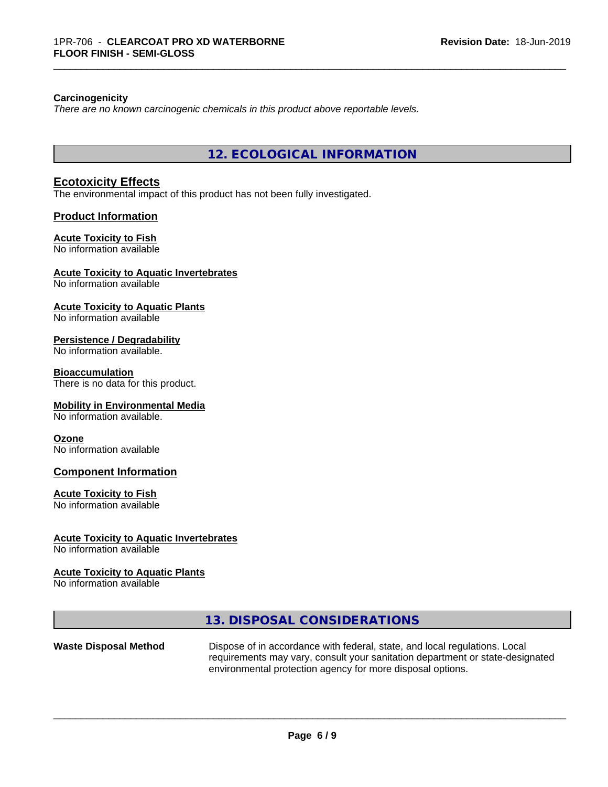#### **Carcinogenicity**

*There are no known carcinogenic chemicals in this product above reportable levels.*

**12. ECOLOGICAL INFORMATION**

\_\_\_\_\_\_\_\_\_\_\_\_\_\_\_\_\_\_\_\_\_\_\_\_\_\_\_\_\_\_\_\_\_\_\_\_\_\_\_\_\_\_\_\_\_\_\_\_\_\_\_\_\_\_\_\_\_\_\_\_\_\_\_\_\_\_\_\_\_\_\_\_\_\_\_\_\_\_\_\_\_\_\_\_\_\_\_\_\_\_\_\_\_

#### **Ecotoxicity Effects**

The environmental impact of this product has not been fully investigated.

#### **Product Information**

#### **Acute Toxicity to Fish**

No information available

#### **Acute Toxicity to Aquatic Invertebrates**

No information available

#### **Acute Toxicity to Aquatic Plants**

No information available

# **Persistence / Degradability**

No information available.

#### **Bioaccumulation**

There is no data for this product.

#### **Mobility in Environmental Media**

No information available.

#### **Ozone**

No information available

#### **Component Information**

#### **Acute Toxicity to Fish**

No information available

#### **Acute Toxicity to Aquatic Invertebrates**

No information available

#### **Acute Toxicity to Aquatic Plants**

No information available

## **13. DISPOSAL CONSIDERATIONS**

**Waste Disposal Method** Dispose of in accordance with federal, state, and local regulations. Local requirements may vary, consult your sanitation department or state-designated environmental protection agency for more disposal options.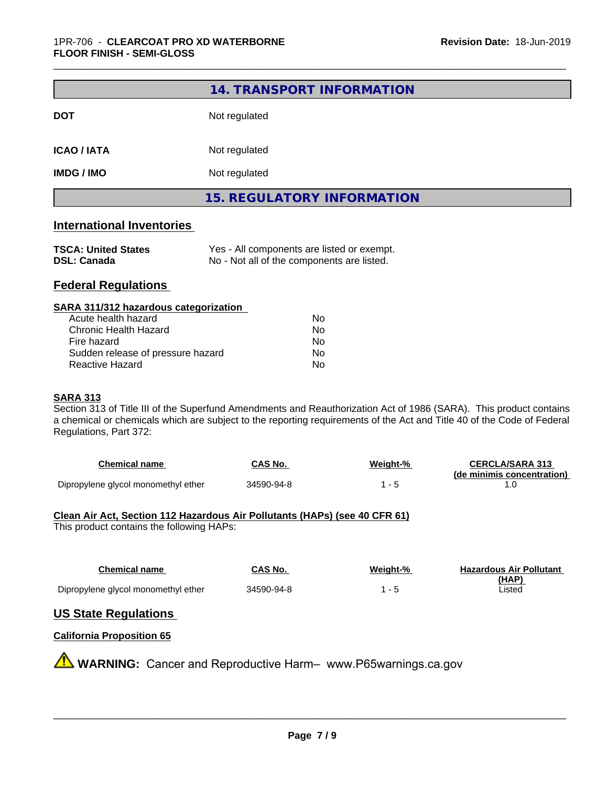|                                                  | 14. TRANSPORT INFORMATION                                                                |
|--------------------------------------------------|------------------------------------------------------------------------------------------|
| <b>DOT</b>                                       | Not regulated                                                                            |
| <b>ICAO/IATA</b>                                 | Not regulated                                                                            |
| <b>IMDG / IMO</b>                                | Not regulated                                                                            |
|                                                  | <b>15. REGULATORY INFORMATION</b>                                                        |
| <b>International Inventories</b>                 |                                                                                          |
| <b>TSCA: United States</b><br><b>DSL: Canada</b> | Yes - All components are listed or exempt.<br>No - Not all of the components are listed. |

\_\_\_\_\_\_\_\_\_\_\_\_\_\_\_\_\_\_\_\_\_\_\_\_\_\_\_\_\_\_\_\_\_\_\_\_\_\_\_\_\_\_\_\_\_\_\_\_\_\_\_\_\_\_\_\_\_\_\_\_\_\_\_\_\_\_\_\_\_\_\_\_\_\_\_\_\_\_\_\_\_\_\_\_\_\_\_\_\_\_\_\_\_

# **Federal Regulations**

#### **SARA 311/312 hazardous categorization**

| Acute health hazard               | Nο |
|-----------------------------------|----|
| Chronic Health Hazard             | N٥ |
| Fire hazard                       | Nο |
| Sudden release of pressure hazard | N٥ |
| Reactive Hazard                   | N٥ |

#### **SARA 313**

Section 313 of Title III of the Superfund Amendments and Reauthorization Act of 1986 (SARA). This product contains a chemical or chemicals which are subject to the reporting requirements of the Act and Title 40 of the Code of Federal Regulations, Part 372:

| Chemical name                       | CAS No.    | Weiaht-% | <b>CERCLA/SARA 313</b>     |
|-------------------------------------|------------|----------|----------------------------|
|                                     |            |          | (de minimis concentration) |
| Dipropylene glycol monomethyl ether | 34590-94-8 |          |                            |

#### **Clean Air Act,Section 112 Hazardous Air Pollutants (HAPs) (see 40 CFR 61)** This product contains the following HAPs:

| Chemical name                       | CAS No.    | Weight-% | <b>Hazardous Air Pollutant</b> |
|-------------------------------------|------------|----------|--------------------------------|
|                                     |            |          | (HAP)                          |
| Dipropylene glycol monomethyl ether | 34590-94-8 |          | ∟isted                         |

# **US State Regulations**

#### **California Proposition 65**

**A** WARNING: Cancer and Reproductive Harm– www.P65warnings.ca.gov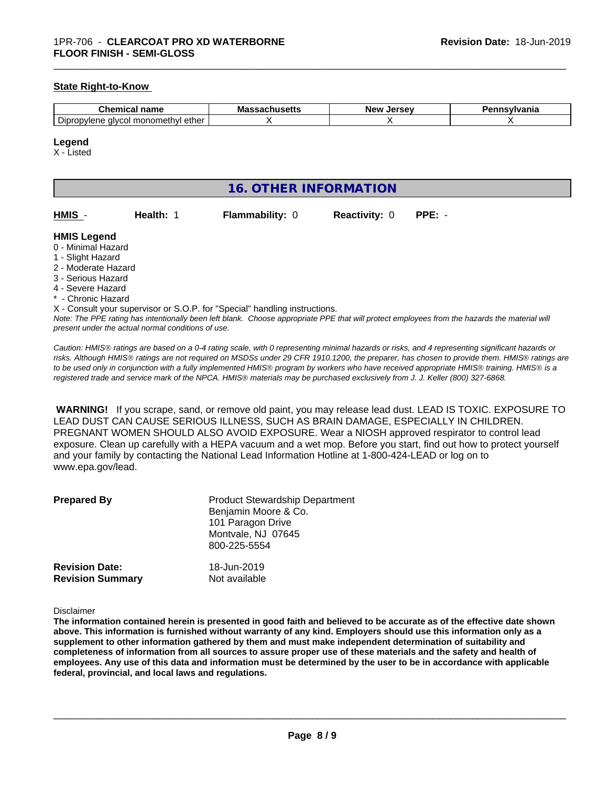#### **State Right-to-Know**

| $\sim$<br>- --<br>⊶ne.<br>name<br>and the contract of the second state of the second state of the second state of the second state of the second state of the second state of the second state of the second state of the second state of the second state of th | IVIO<br>scu. | Ne'<br>$\cdot$<br>$-1$ | וו |
|------------------------------------------------------------------------------------------------------------------------------------------------------------------------------------------------------------------------------------------------------------------|--------------|------------------------|----|
| $\overline{\phantom{0}}$<br>ether<br>.، monom<br>meth<br>aivcol<br>mn<br>וער<br>™NIt…<br>ᄖ<br>--                                                                                                                                                                 |              |                        |    |

\_\_\_\_\_\_\_\_\_\_\_\_\_\_\_\_\_\_\_\_\_\_\_\_\_\_\_\_\_\_\_\_\_\_\_\_\_\_\_\_\_\_\_\_\_\_\_\_\_\_\_\_\_\_\_\_\_\_\_\_\_\_\_\_\_\_\_\_\_\_\_\_\_\_\_\_\_\_\_\_\_\_\_\_\_\_\_\_\_\_\_\_\_

#### **Legend**

X - Listed

# **16. OTHER INFORMATION**

| HMIS | Health: 1 | <b>Flammability: 0</b> | <b>Reactivity: 0 PPE: -</b> |  |
|------|-----------|------------------------|-----------------------------|--|
|      |           |                        |                             |  |

#### **HMIS Legend**

- 0 Minimal Hazard
- 1 Slight Hazard
- 2 Moderate Hazard
- 3 Serious Hazard
- 4 Severe Hazard
- \* Chronic Hazard
- X Consult your supervisor or S.O.P. for "Special" handling instructions.

*Note: The PPE rating has intentionally been left blank. Choose appropriate PPE that will protect employees from the hazards the material will present under the actual normal conditions of use.*

*Caution: HMISÒ ratings are based on a 0-4 rating scale, with 0 representing minimal hazards or risks, and 4 representing significant hazards or risks. Although HMISÒ ratings are not required on MSDSs under 29 CFR 1910.1200, the preparer, has chosen to provide them. HMISÒ ratings are to be used only in conjunction with a fully implemented HMISÒ program by workers who have received appropriate HMISÒ training. HMISÒ is a registered trade and service mark of the NPCA. HMISÒ materials may be purchased exclusively from J. J. Keller (800) 327-6868.*

 **WARNING!** If you scrape, sand, or remove old paint, you may release lead dust. LEAD IS TOXIC. EXPOSURE TO LEAD DUST CAN CAUSE SERIOUS ILLNESS, SUCH AS BRAIN DAMAGE, ESPECIALLY IN CHILDREN. PREGNANT WOMEN SHOULD ALSO AVOID EXPOSURE.Wear a NIOSH approved respirator to control lead exposure. Clean up carefully with a HEPA vacuum and a wet mop. Before you start, find out how to protect yourself and your family by contacting the National Lead Information Hotline at 1-800-424-LEAD or log on to www.epa.gov/lead.

| <b>Prepared By</b>                               | <b>Product Stewardship Department</b><br>Benjamin Moore & Co.<br>101 Paragon Drive<br>Montvale, NJ 07645<br>800-225-5554 |  |
|--------------------------------------------------|--------------------------------------------------------------------------------------------------------------------------|--|
| <b>Revision Date:</b><br><b>Revision Summary</b> | 18-Jun-2019<br>Not available                                                                                             |  |

#### Disclaimer

The information contained herein is presented in good faith and believed to be accurate as of the effective date shown above. This information is furnished without warranty of any kind. Employers should use this information only as a **supplement to other information gathered by them and must make independent determination of suitability and** completeness of information from all sources to assure proper use of these materials and the safety and health of employees. Any use of this data and information must be determined by the user to be in accordance with applicable **federal, provincial, and local laws and regulations.**